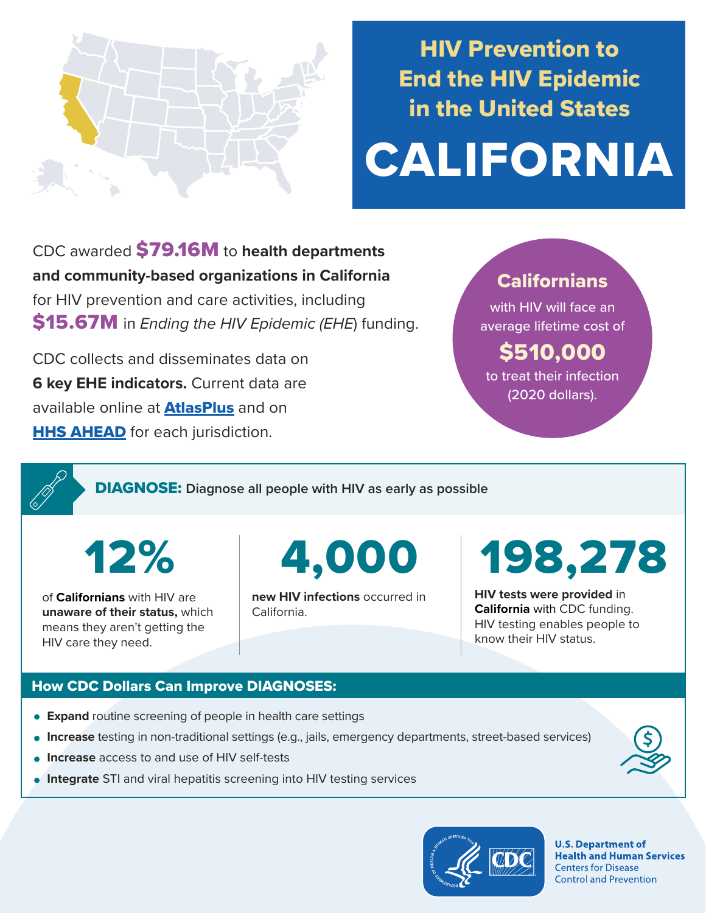

## HIV Prevention to End the HIV Epidemic in the United States

# CALIFORNIA

CDC awarded \$79.16M to **health departments and community-based organizations in California**  for HIV prevention and care activities, including \$15.67M in *Ending the HIV Epidemic (EHE*) funding.

CDC collects and disseminates data on **6 key EHE indicators.** Current data are available online at **[AtlasPlus](https://www.cdc.gov/nchhstp/atlas/index.htm)** and on **[HHS AHEAD](https://ahead.hiv.gov/)** for each jurisdiction.

### **Californians**

with HIV will face an average lifetime cost of

## \$510,000

to treat their infection (2020 dollars).

DIAGNOSE: **Diagnose all people with HIV as early as possible** 

of **Californians** with HIV are **unaware of their status,** which means they aren't getting the HIV care they need.

12% 4,000

**new HIV infections** occurred in California.

198,278

**HIV tests were provided** in **California** with CDC funding. HIV testing enables people to know their HIV status.

#### How CDC Dollars Can Improve DIAGNOSES:

- **Expand** routine screening of people in health care settings
- **Increase** testing in non-traditional settings (e.g., jails, emergency departments, street-based services)
- **Increase** access to and use of HIV self-tests
- **Integrate** STI and viral hepatitis screening into HIV testing services



**U.S. Department of Health and Human Services Centers for Disease Control and Prevention**